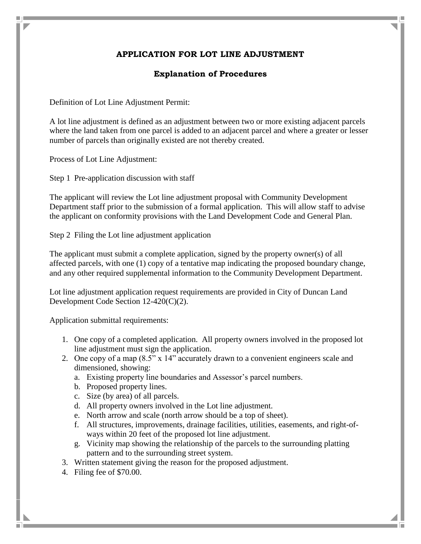## **APPLICATION FOR LOT LINE ADJUSTMENT**

## **Explanation of Procedures**

Definition of Lot Line Adjustment Permit:

A lot line adjustment is defined as an adjustment between two or more existing adjacent parcels where the land taken from one parcel is added to an adjacent parcel and where a greater or lesser number of parcels than originally existed are not thereby created.

Process of Lot Line Adjustment:

Step 1 Pre-application discussion with staff

The applicant will review the Lot line adjustment proposal with Community Development Department staff prior to the submission of a formal application. This will allow staff to advise the applicant on conformity provisions with the Land Development Code and General Plan.

Step 2 Filing the Lot line adjustment application

The applicant must submit a complete application, signed by the property owner(s) of all affected parcels, with one (1) copy of a tentative map indicating the proposed boundary change, and any other required supplemental information to the Community Development Department.

Lot line adjustment application request requirements are provided in City of Duncan Land Development Code Section 12-420(C)(2).

Application submittal requirements:

- 1. One copy of a completed application. All property owners involved in the proposed lot line adjustment must sign the application.
- 2. One copy of a map (8.5" x 14" accurately drawn to a convenient engineers scale and dimensioned, showing:
	- a. Existing property line boundaries and Assessor's parcel numbers.
	- b. Proposed property lines.
	- c. Size (by area) of all parcels.
	- d. All property owners involved in the Lot line adjustment.
	- e. North arrow and scale (north arrow should be a top of sheet).
	- f. All structures, improvements, drainage facilities, utilities, easements, and right-ofways within 20 feet of the proposed lot line adjustment.
	- g. Vicinity map showing the relationship of the parcels to the surrounding platting pattern and to the surrounding street system.
- 3. Written statement giving the reason for the proposed adjustment.
- 4. Filing fee of \$70.00.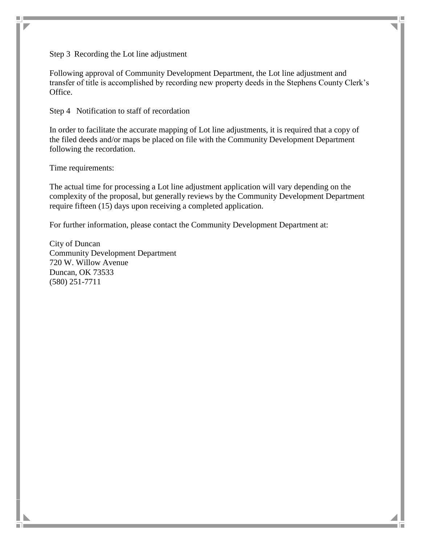Step 3 Recording the Lot line adjustment

Following approval of Community Development Department, the Lot line adjustment and transfer of title is accomplished by recording new property deeds in the Stephens County Clerk's Office.

Step 4 Notification to staff of recordation

In order to facilitate the accurate mapping of Lot line adjustments, it is required that a copy of the filed deeds and/or maps be placed on file with the Community Development Department following the recordation.

Time requirements:

m.

The actual time for processing a Lot line adjustment application will vary depending on the complexity of the proposal, but generally reviews by the Community Development Department require fifteen (15) days upon receiving a completed application.

For further information, please contact the Community Development Department at:

City of Duncan Community Development Department 720 W. Willow Avenue Duncan, OK 73533 (580) 251-7711